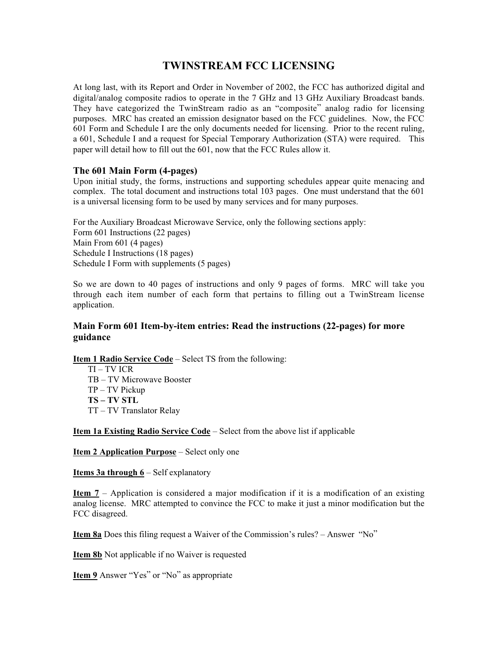# **TWINSTREAM FCC LICENSING**

At long last, with its Report and Order in November of 2002, the FCC has authorized digital and digital/analog composite radios to operate in the 7 GHz and 13 GHz Auxiliary Broadcast bands. They have categorized the TwinStream radio as an "composite" analog radio for licensing purposes. MRC has created an emission designator based on the FCC guidelines. Now, the FCC 601 Form and Schedule I are the only documents needed for licensing. Prior to the recent ruling, a 601, Schedule I and a request for Special Temporary Authorization (STA) were required. This paper will detail how to fill out the 601, now that the FCC Rules allow it.

# **The 601 Main Form (4-pages)**

Upon initial study, the forms, instructions and supporting schedules appear quite menacing and complex. The total document and instructions total 103 pages. One must understand that the 601 is a universal licensing form to be used by many services and for many purposes.

For the Auxiliary Broadcast Microwave Service, only the following sections apply: Form 601 Instructions (22 pages) Main From 601 (4 pages) Schedule I Instructions (18 pages) Schedule I Form with supplements (5 pages)

So we are down to 40 pages of instructions and only 9 pages of forms. MRC will take you through each item number of each form that pertains to filling out a TwinStream license application.

# **Main Form 601 Item-by-item entries: Read the instructions (22-pages) for more guidance**

**Item 1 Radio Service Code** – Select TS from the following:

TI – TV ICR TB – TV Microwave Booster TP – TV Pickup **TS – TV STL** TT – TV Translator Relay

**Item 1a Existing Radio Service Code** – Select from the above list if applicable

**Item 2 Application Purpose** – Select only one

**Items 3a through 6** – Self explanatory

**Item 7** – Application is considered a major modification if it is a modification of an existing analog license. MRC attempted to convince the FCC to make it just a minor modification but the FCC disagreed.

**Item 8a** Does this filing request a Waiver of the Commission's rules? – Answer "No"

**Item 8b** Not applicable if no Waiver is requested

**Item 9** Answer "Yes" or "No" as appropriate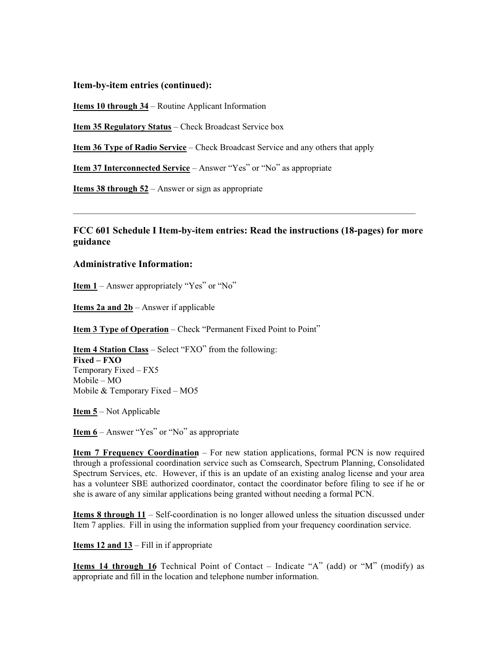**Item-by-item entries (continued):**

**Items 10 through 34** – Routine Applicant Information

**Item 35 Regulatory Status** – Check Broadcast Service box

**Item 36 Type of Radio Service** – Check Broadcast Service and any others that apply

**Item 37 Interconnected Service** – Answer "Yes" or "No" as appropriate

**Items 38 through 52** – Answer or sign as appropriate

**FCC 601 Schedule I Item-by-item entries: Read the instructions (18-pages) for more guidance**

\_\_\_\_\_\_\_\_\_\_\_\_\_\_\_\_\_\_\_\_\_\_\_\_\_\_\_\_\_\_\_\_\_\_\_\_\_\_\_\_\_\_\_\_\_\_\_\_\_\_\_\_\_\_\_\_\_\_\_\_\_\_\_\_\_\_\_\_\_\_\_\_\_\_\_\_\_\_

#### **Administrative Information:**

**Item 1** – Answer appropriately "Yes" or "No"

**Items 2a and 2b** – Answer if applicable

**Item 3 Type of Operation** – Check "Permanent Fixed Point to Point"

**Item 4 Station Class** – Select "FXO" from the following: **Fixed – FXO** Temporary Fixed – FX5 Mobile – MO Mobile & Temporary Fixed – MO5

**Item 5** – Not Applicable

**Item 6** – Answer "Yes" or "No" as appropriate

**Item 7 Frequency Coordination** – For new station applications, formal PCN is now required through a professional coordination service such as Comsearch, Spectrum Planning, Consolidated Spectrum Services, etc. However, if this is an update of an existing analog license and your area has a volunteer SBE authorized coordinator, contact the coordinator before filing to see if he or she is aware of any similar applications being granted without needing a formal PCN.

**Items 8 through 11** – Self-coordination is no longer allowed unless the situation discussed under Item 7 applies. Fill in using the information supplied from your frequency coordination service.

**Items 12 and 13** – Fill in if appropriate

**Items 14 through 16** Technical Point of Contact – Indicate "A" (add) or "M" (modify) as appropriate and fill in the location and telephone number information.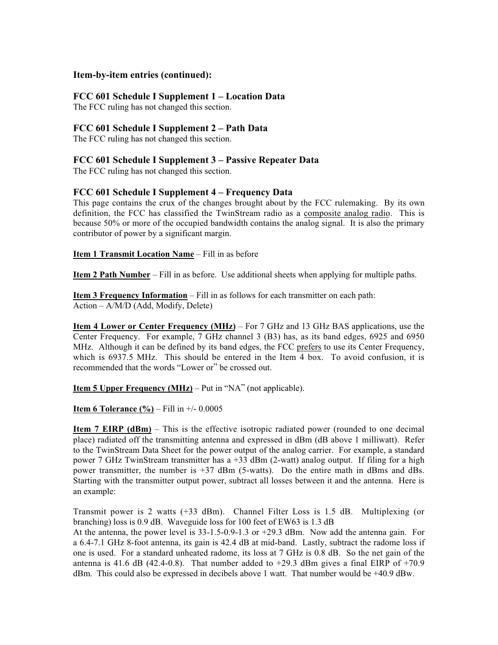## **Item-by-item entries (continued):**

# **FCC 601 Schedule I Supplement 1 – Location Data**

The FCC ruling has not changed this section.

# **FCC 601 Schedule I Supplement 2 – Path Data**

The FCC ruling has not changed this section.

## **FCC 601 Schedule I Supplement 3 – Passive Repeater Data**

The FCC ruling has not changed this section.

# **FCC 601 Schedule I Supplement 4 – Frequency Data**

This page contains the crux of the changes brought about by the FCC rulemaking. By its own definition, the FCC has classified the TwinStream radio as a composite analog radio. This is because 50% or more of the occupied bandwidth contains the analog signal. It is also the primary contributor of power by a significant margin.

#### **Item 1 Transmit Location Name** – Fill in as before

**Item 2 Path Number** – Fill in as before. Use additional sheets when applying for multiple paths.

**Item 3 Frequency Information** – Fill in as follows for each transmitter on each path: Action – A/M/D (Add, Modify, Delete)

**Item 4 Lower or Center Frequency (MHz)** – For 7 GHz and 13 GHz BAS applications, use the Center Frequency. For example, 7 GHz channel 3 (B3) has, as its band edges, 6925 and 6950 MHz. Although it can be defined by its band edges, the FCC prefers to use its Center Frequency, which is 6937.5 MHz. This should be entered in the Item 4 box. To avoid confusion, it is recommended that the words "Lower or" be crossed out.

**Item 5 Upper Frequency (MHz)** – Put in "NA" (not applicable).

**Item 6 Tolerance (%)** – Fill in +/- 0.0005

**Item 7 EIRP (dBm)** – This is the effective isotropic radiated power (rounded to one decimal place) radiated off the transmitting antenna and expressed in dBm (dB above 1 milliwatt). Refer to the TwinStream Data Sheet for the power output of the analog carrier. For example, a standard power 7 GHz TwinStream transmitter has a +33 dBm (2-watt) analog output. If filing for a high power transmitter, the number is  $+37$  dBm (5-watts). Do the entire math in dBms and dBs. Starting with the transmitter output power, subtract all losses between it and the antenna. Here is an example:

Transmit power is 2 watts (+33 dBm). Channel Filter Loss is 1.5 dB. Multiplexing (or branching) loss is 0.9 dB. Waveguide loss for 100 feet of EW63 is 1.3 dB

At the antenna, the power level is 33-1.5-0.9-1.3 or +29.3 dBm. Now add the antenna gain. For a 6.4-7.1 GHz 8-foot antenna, its gain is 42.4 dB at mid-band. Lastly, subtract the radome loss if one is used. For a standard unheated radome, its loss at 7 GHz is 0.8 dB. So the net gain of the antenna is 41.6 dB (42.4-0.8). That number added to  $+29.3$  dBm gives a final EIRP of  $+70.9$ dBm. This could also be expressed in decibels above 1 watt. That number would be +40.9 dBw.